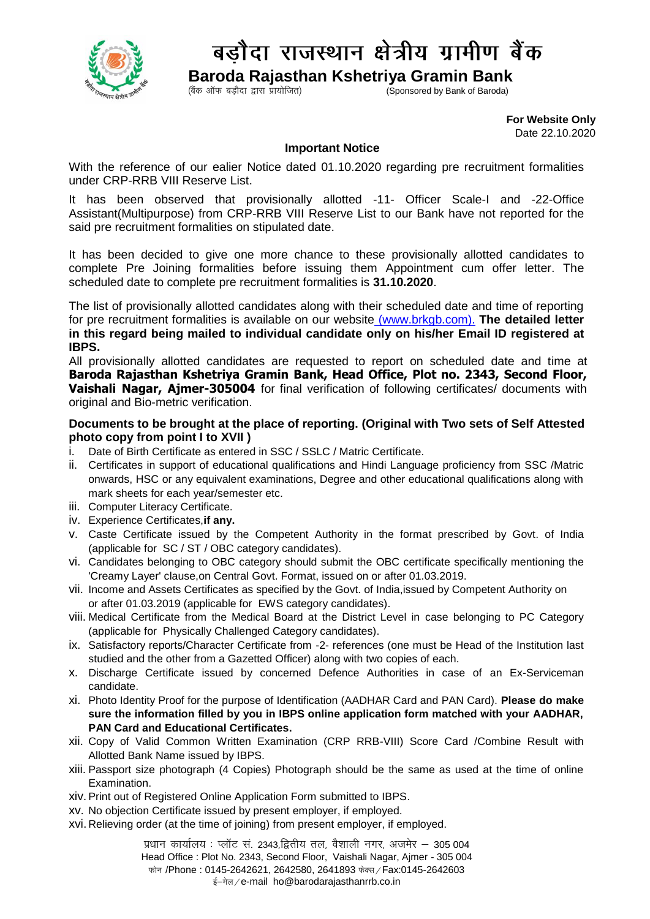

## बड़ौदा राजस्थान क्षेत्रीय ग्रामीण बैंक

 **Baroda Rajasthan Kshetriya Gramin Bank**

 $\zeta$ Coonsored by Bank of Baroda)

 **For Website Only**  Date 22.10.2020

## **Important Notice**

With the reference of our ealier Notice dated 01.10.2020 regarding pre recruitment formalities under CRP-RRB VIII Reserve List.

It has been observed that provisionally allotted -11- Officer Scale-I and -22-Office Assistant(Multipurpose) from CRP-RRB VIII Reserve List to our Bank have not reported for the said pre recruitment formalities on stipulated date.

It has been decided to give one more chance to these provisionally allotted candidates to complete Pre Joining formalities before issuing them Appointment cum offer letter. The scheduled date to complete pre recruitment formalities is **31.10.2020**.

The list of provisionally allotted candidates along with their scheduled date and time of reporting for pre recruitment formalities is available on our website [\(www.brkgb.com\)](http://www.brkgb.com/). **The detailed letter in this regard being mailed to individual candidate only on his/her Email ID registered at IBPS.**

All provisionally allotted candidates are requested to report on scheduled date and time at **Baroda Rajasthan Kshetriya Gramin Bank, Head Office, Plot no. 2343, Second Floor, Vaishali Nagar, Ajmer-305004** for final verification of following certificates/ documents with original and Bio-metric verification.

## **Documents to be brought at the place of reporting. (Original with Two sets of Self Attested photo copy from point I to XVII )**

- i. Date of Birth Certificate as entered in SSC / SSLC / Matric Certificate.
- ii. Certificates in support of educational qualifications and Hindi Language proficiency from SSC /Matric onwards, HSC or any equivalent examinations, Degree and other educational qualifications along with mark sheets for each year/semester etc.
- iii. Computer Literacy Certificate.
- iv. Experience Certificates,**if any.**
- v. Caste Certificate issued by the Competent Authority in the format prescribed by Govt. of India (applicable for SC / ST / OBC category candidates).
- vi. Candidates belonging to OBC category should submit the OBC certificate specifically mentioning the 'Creamy Layer' clause,on Central Govt. Format, issued on or after 01.03.2019.
- vii. Income and Assets Certificates as specified by the Govt. of India,issued by Competent Authority on or after 01.03.2019 (applicable for EWS category candidates).
- viii. Medical Certificate from the Medical Board at the District Level in case belonging to PC Category (applicable for Physically Challenged Category candidates).
- ix. Satisfactory reports/Character Certificate from -2- references (one must be Head of the Institution last studied and the other from a Gazetted Officer) along with two copies of each.
- x. Discharge Certificate issued by concerned Defence Authorities in case of an Ex-Serviceman candidate.
- xi. Photo Identity Proof for the purpose of Identification (AADHAR Card and PAN Card). **Please do make sure the information filled by you in IBPS online application form matched with your AADHAR, PAN Card and Educational Certificates.**
- xii. Copy of Valid Common Written Examination (CRP RRB-VIII) Score Card /Combine Result with Allotted Bank Name issued by IBPS.
- xiii. Passport size photograph (4 Copies) Photograph should be the same as used at the time of online Examination.
- xiv.Print out of Registered Online Application Form submitted to IBPS.
- xv. No objection Certificate issued by present employer, if employed.
- xvi. Relieving order (at the time of joining) from present employer, if employed.

प्रधान कार्यालय: प्लॉट सं. 2343,द्वितीय तल, वैशाली नगर, अजमेर – 305 004 Head Office : Plot No. 2343, Second Floor, Vaishali Nagar, Ajmer - 305 004 फोन /Phone: 0145-2642621, 2642580, 2641893 फेक्स / Fax:0145-2642603 ई-मेल / e-mail ho@barodarajasthanrrb.co.in